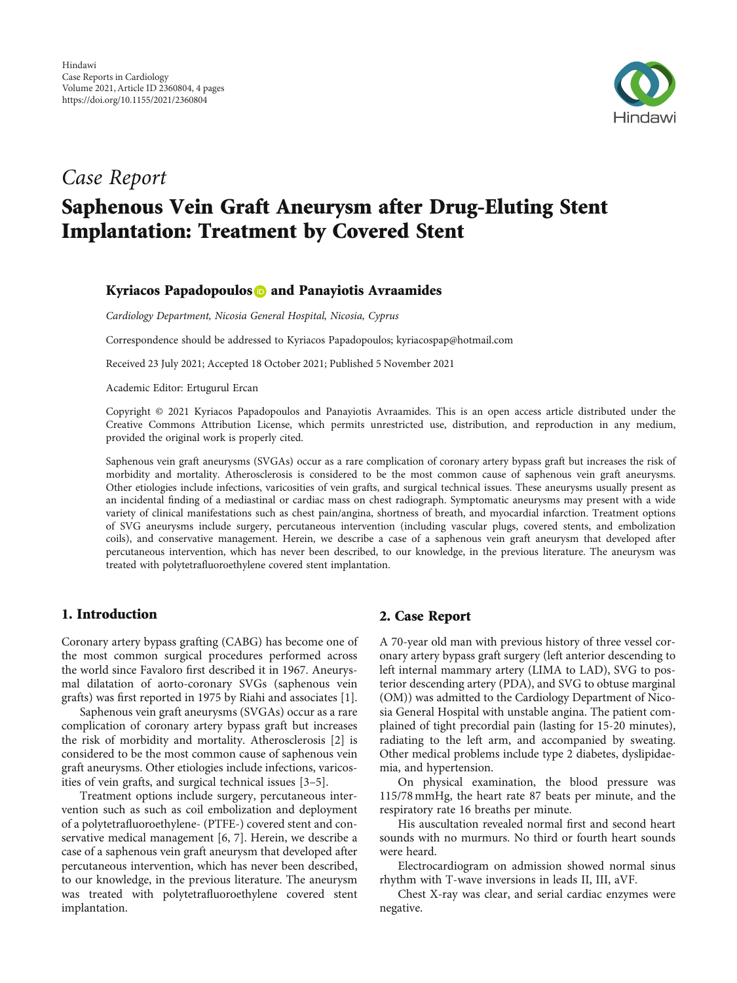

# Case Report Saphenous Vein Graft Aneurysm after Drug-Eluting Stent Implantation: Treatment by Covered Stent

### Kyriacos Papadopoulos **and Panayiotis Avraamides**

Cardiology Department, Nicosia General Hospital, Nicosia, Cyprus

Correspondence should be addressed to Kyriacos Papadopoulos; kyriacospap@hotmail.com

Received 23 July 2021; Accepted 18 October 2021; Published 5 November 2021

Academic Editor: Ertugurul Ercan

Copyright © 2021 Kyriacos Papadopoulos and Panayiotis Avraamides. This is an open access article distributed under the [Creative Commons Attribution License,](https://creativecommons.org/licenses/by/4.0/) which permits unrestricted use, distribution, and reproduction in any medium, provided the original work is properly cited.

Saphenous vein graft aneurysms (SVGAs) occur as a rare complication of coronary artery bypass graft but increases the risk of morbidity and mortality. Atherosclerosis is considered to be the most common cause of saphenous vein graft aneurysms. Other etiologies include infections, varicosities of vein grafts, and surgical technical issues. These aneurysms usually present as an incidental finding of a mediastinal or cardiac mass on chest radiograph. Symptomatic aneurysms may present with a wide variety of clinical manifestations such as chest pain/angina, shortness of breath, and myocardial infarction. Treatment options of SVG aneurysms include surgery, percutaneous intervention (including vascular plugs, covered stents, and embolization coils), and conservative management. Herein, we describe a case of a saphenous vein graft aneurysm that developed after percutaneous intervention, which has never been described, to our knowledge, in the previous literature. The aneurysm was treated with polytetrafluoroethylene covered stent implantation.

## 1. Introduction

Coronary artery bypass grafting (CABG) has become one of the most common surgical procedures performed across the world since Favaloro first described it in 1967. Aneurysmal dilatation of aorto-coronary SVGs (saphenous vein grafts) was first reported in 1975 by Riahi and associates [[1](#page-3-0)].

Saphenous vein graft aneurysms (SVGAs) occur as a rare complication of coronary artery bypass graft but increases the risk of morbidity and mortality. Atherosclerosis [\[2](#page-3-0)] is considered to be the most common cause of saphenous vein graft aneurysms. Other etiologies include infections, varicosities of vein grafts, and surgical technical issues [\[3](#page-3-0)–[5\]](#page-3-0).

Treatment options include surgery, percutaneous intervention such as such as coil embolization and deployment of a polytetrafluoroethylene- (PTFE-) covered stent and conservative medical management [\[6](#page-3-0), [7](#page-3-0)]. Herein, we describe a case of a saphenous vein graft aneurysm that developed after percutaneous intervention, which has never been described, to our knowledge, in the previous literature. The aneurysm was treated with polytetrafluoroethylene covered stent implantation.

#### 2. Case Report

A 70-year old man with previous history of three vessel coronary artery bypass graft surgery (left anterior descending to left internal mammary artery (LIMA to LAD), SVG to posterior descending artery (PDA), and SVG to obtuse marginal (OM)) was admitted to the Cardiology Department of Nicosia General Hospital with unstable angina. The patient complained of tight precordial pain (lasting for 15-20 minutes), radiating to the left arm, and accompanied by sweating. Other medical problems include type 2 diabetes, dyslipidaemia, and hypertension.

On physical examination, the blood pressure was 115/78 mmHg, the heart rate 87 beats per minute, and the respiratory rate 16 breaths per minute.

His auscultation revealed normal first and second heart sounds with no murmurs. No third or fourth heart sounds were heard.

Electrocardiogram on admission showed normal sinus rhythm with T-wave inversions in leads II, III, aVF.

Chest X-ray was clear, and serial cardiac enzymes were negative.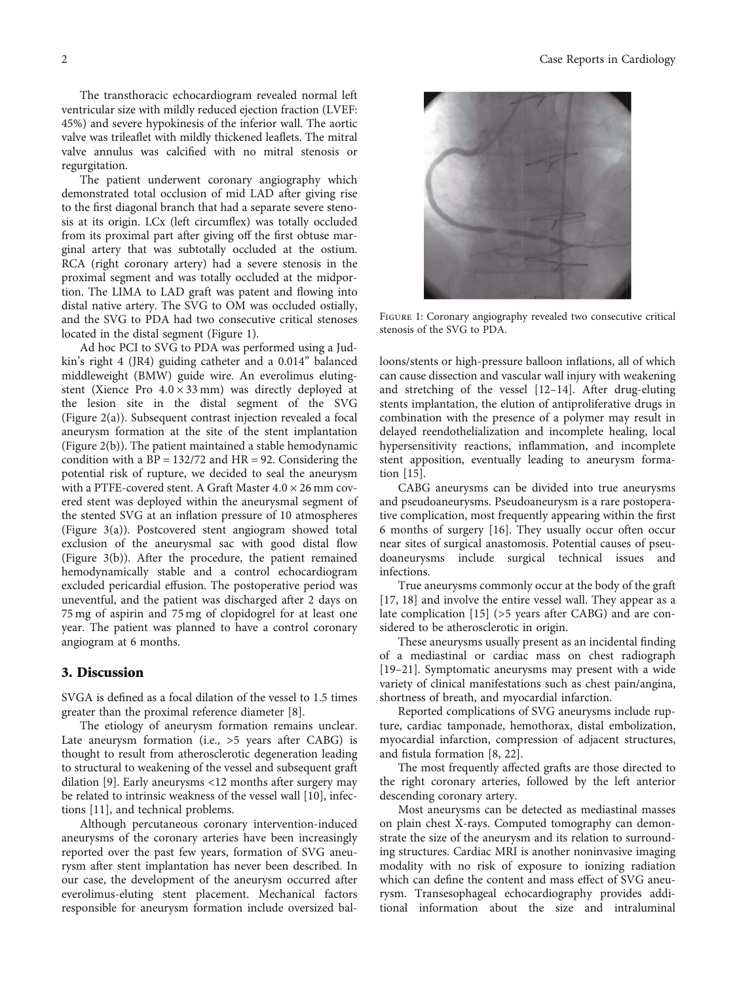The transthoracic echocardiogram revealed normal left ventricular size with mildly reduced ejection fraction (LVEF: 45%) and severe hypokinesis of the inferior wall. The aortic valve was trileaflet with mildly thickened leaflets. The mitral valve annulus was calcified with no mitral stenosis or regurgitation.

The patient underwent coronary angiography which demonstrated total occlusion of mid LAD after giving rise to the first diagonal branch that had a separate severe stenosis at its origin. LCx (left circumflex) was totally occluded from its proximal part after giving off the first obtuse marginal artery that was subtotally occluded at the ostium. RCA (right coronary artery) had a severe stenosis in the proximal segment and was totally occluded at the midportion. The LIMA to LAD graft was patent and flowing into distal native artery. The SVG to OM was occluded ostially, and the SVG to PDA had two consecutive critical stenoses located in the distal segment (Figure 1).

Ad hoc PCI to SVG to PDA was performed using a Judkin's right 4 (JR4) guiding catheter and a 0.014" balanced middleweight (BMW) guide wire. An everolimus elutingstent (Xience Pro 4*:*0 × 33 mm) was directly deployed at the lesion site in the distal segment of the SVG (Figure [2\(a\)\)](#page-2-0). Subsequent contrast injection revealed a focal aneurysm formation at the site of the stent implantation (Figure [2\(b\)\)](#page-2-0). The patient maintained a stable hemodynamic condition with a  $BP = 132/72$  and  $HR = 92$ . Considering the potential risk of rupture, we decided to seal the aneurysm with a PTFE-covered stent. A Graft Master 4*:*0 × 26 mm covered stent was deployed within the aneurysmal segment of the stented SVG at an inflation pressure of 10 atmospheres (Figure [3\(a\)](#page-2-0)). Postcovered stent angiogram showed total exclusion of the aneurysmal sac with good distal flow (Figure [3\(b\)\)](#page-2-0). After the procedure, the patient remained hemodynamically stable and a control echocardiogram excluded pericardial effusion. The postoperative period was uneventful, and the patient was discharged after 2 days on 75 mg of aspirin and 75 mg of clopidogrel for at least one year. The patient was planned to have a control coronary angiogram at 6 months.

#### 3. Discussion

SVGA is defined as a focal dilation of the vessel to 1.5 times greater than the proximal reference diameter [[8\]](#page-3-0).

The etiology of aneurysm formation remains unclear. Late aneurysm formation (i.e., >5 years after CABG) is thought to result from atherosclerotic degeneration leading to structural to weakening of the vessel and subsequent graft dilation [[9\]](#page-3-0). Early aneurysms <12 months after surgery may be related to intrinsic weakness of the vessel wall [\[10](#page-3-0)], infections [\[11\]](#page-3-0), and technical problems.

Although percutaneous coronary intervention-induced aneurysms of the coronary arteries have been increasingly reported over the past few years, formation of SVG aneurysm after stent implantation has never been described. In our case, the development of the aneurysm occurred after everolimus-eluting stent placement. Mechanical factors responsible for aneurysm formation include oversized bal-



Figure 1: Coronary angiography revealed two consecutive critical stenosis of the SVG to PDA.

loons/stents or high-pressure balloon inflations, all of which can cause dissection and vascular wall injury with weakening and stretching of the vessel [\[12](#page-3-0)–[14\]](#page-3-0). After drug-eluting stents implantation, the elution of antiproliferative drugs in combination with the presence of a polymer may result in delayed reendothelialization and incomplete healing, local hypersensitivity reactions, inflammation, and incomplete stent apposition, eventually leading to aneurysm formation [\[15](#page-3-0)].

CABG aneurysms can be divided into true aneurysms and pseudoaneurysms. Pseudoaneurysm is a rare postoperative complication, most frequently appearing within the first 6 months of surgery [\[16\]](#page-3-0). They usually occur often occur near sites of surgical anastomosis. Potential causes of pseudoaneurysms include surgical technical issues and infections.

True aneurysms commonly occur at the body of the graft [\[17, 18\]](#page-3-0) and involve the entire vessel wall. They appear as a late complication [[15](#page-3-0)] (>5 years after CABG) and are considered to be atherosclerotic in origin.

These aneurysms usually present as an incidental finding of a mediastinal or cardiac mass on chest radiograph [\[19](#page-3-0)–[21\]](#page-3-0). Symptomatic aneurysms may present with a wide variety of clinical manifestations such as chest pain/angina, shortness of breath, and myocardial infarction.

Reported complications of SVG aneurysms include rupture, cardiac tamponade, hemothorax, distal embolization, myocardial infarction, compression of adjacent structures, and fistula formation [[8](#page-3-0), [22](#page-3-0)].

The most frequently affected grafts are those directed to the right coronary arteries, followed by the left anterior descending coronary artery.

Most aneurysms can be detected as mediastinal masses on plain chest X-rays. Computed tomography can demonstrate the size of the aneurysm and its relation to surrounding structures. Cardiac MRI is another noninvasive imaging modality with no risk of exposure to ionizing radiation which can define the content and mass effect of SVG aneurysm. Transesophageal echocardiography provides additional information about the size and intraluminal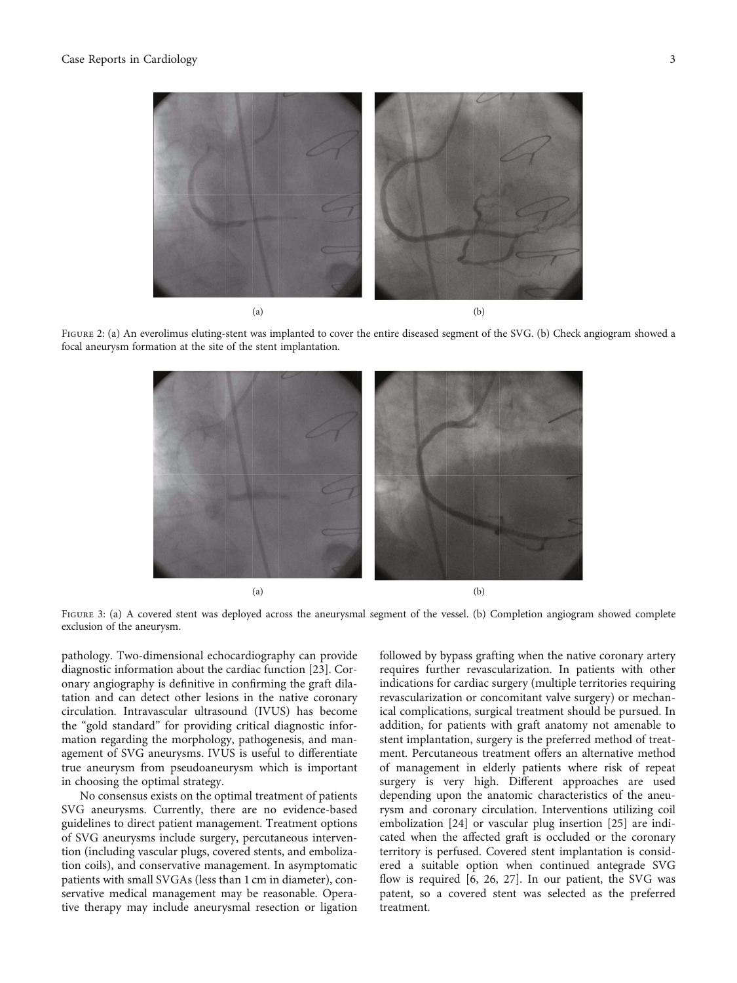<span id="page-2-0"></span>

FIGURE 2: (a) An everolimus eluting-stent was implanted to cover the entire diseased segment of the SVG. (b) Check angiogram showed a focal aneurysm formation at the site of the stent implantation.



FIGURE 3: (a) A covered stent was deployed across the aneurysmal segment of the vessel. (b) Completion angiogram showed complete exclusion of the aneurysm.

pathology. Two-dimensional echocardiography can provide diagnostic information about the cardiac function [[23](#page-3-0)]. Coronary angiography is definitive in confirming the graft dilatation and can detect other lesions in the native coronary circulation. Intravascular ultrasound (IVUS) has become the "gold standard" for providing critical diagnostic information regarding the morphology, pathogenesis, and management of SVG aneurysms. IVUS is useful to differentiate true aneurysm from pseudoaneurysm which is important in choosing the optimal strategy.

No consensus exists on the optimal treatment of patients SVG aneurysms. Currently, there are no evidence-based guidelines to direct patient management. Treatment options of SVG aneurysms include surgery, percutaneous intervention (including vascular plugs, covered stents, and embolization coils), and conservative management. In asymptomatic patients with small SVGAs (less than 1 cm in diameter), conservative medical management may be reasonable. Operative therapy may include aneurysmal resection or ligation

followed by bypass grafting when the native coronary artery requires further revascularization. In patients with other indications for cardiac surgery (multiple territories requiring revascularization or concomitant valve surgery) or mechanical complications, surgical treatment should be pursued. In addition, for patients with graft anatomy not amenable to stent implantation, surgery is the preferred method of treatment. Percutaneous treatment offers an alternative method of management in elderly patients where risk of repeat surgery is very high. Different approaches are used depending upon the anatomic characteristics of the aneurysm and coronary circulation. Interventions utilizing coil embolization [\[24\]](#page-3-0) or vascular plug insertion [[25](#page-3-0)] are indicated when the affected graft is occluded or the coronary territory is perfused. Covered stent implantation is considered a suitable option when continued antegrade SVG flow is required [[6](#page-3-0), [26](#page-3-0), [27\]](#page-3-0). In our patient, the SVG was patent, so a covered stent was selected as the preferred treatment.